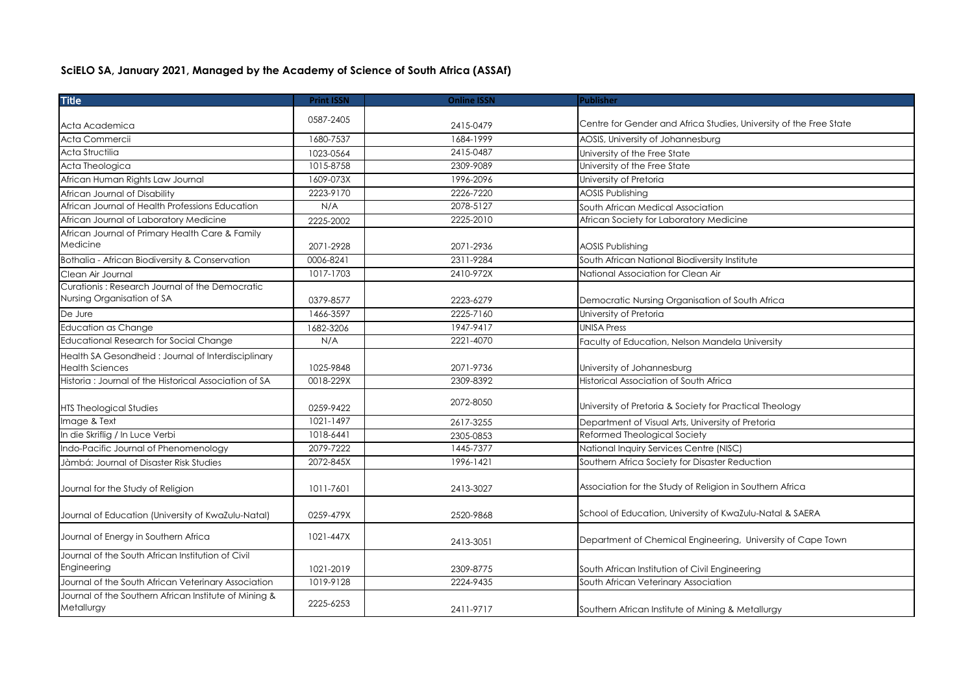## **SciELO SA, January 2021, Managed by the Academy of Science of South Africa (ASSAf)**

| <b>Title</b>                                          | <b>Print ISSN</b> | <b>Online ISSN</b> | <b>Publisher</b>                                                   |
|-------------------------------------------------------|-------------------|--------------------|--------------------------------------------------------------------|
|                                                       | 0587-2405         |                    |                                                                    |
| Acta Academica                                        |                   | 2415-0479          | Centre for Gender and Africa Studies, University of the Free State |
| Acta Commercii                                        | 1680-7537         | 1684-1999          | AOSIS, University of Johannesburg                                  |
| Acta Structilia                                       | 1023-0564         | 2415-0487          | University of the Free State                                       |
| Acta Theologica                                       | 1015-8758         | 2309-9089          | University of the Free State                                       |
| African Human Rights Law Journal                      | 1609-073X         | 1996-2096          | University of Pretoria                                             |
| African Journal of Disability                         | 2223-9170         | 2226-7220          | <b>AOSIS Publishing</b>                                            |
| African Journal of Health Professions Education       | N/A               | 2078-5127          | South African Medical Association                                  |
| African Journal of Laboratory Medicine                | 2225-2002         | 2225-2010          | African Society for Laboratory Medicine                            |
| African Journal of Primary Health Care & Family       |                   |                    |                                                                    |
| Medicine                                              | 2071-2928         | 2071-2936          | <b>AOSIS Publishing</b>                                            |
| Bothalia - African Biodiversity & Conservation        | 0006-8241         | 2311-9284          | South African National Biodiversity Institute                      |
| Clean Air Journal                                     | 1017-1703         | 2410-972X          | National Association for Clean Air                                 |
| Curationis: Research Journal of the Democratic        |                   |                    |                                                                    |
| Nursing Organisation of SA                            | 0379-8577         | 2223-6279          | Democratic Nursing Organisation of South Africa                    |
| De Jure                                               | 1466-3597         | 2225-7160          | University of Pretoria                                             |
| <b>Education as Change</b>                            | 1682-3206         | 1947-9417          | <b>UNISA Press</b>                                                 |
| <b>Educational Research for Social Change</b>         | N/A               | 2221-4070          | Faculty of Education, Nelson Mandela University                    |
| Health SA Gesondheid: Journal of Interdisciplinary    |                   |                    |                                                                    |
| <b>Health Sciences</b>                                | 1025-9848         | 2071-9736          | University of Johannesburg                                         |
| Historia: Journal of the Historical Association of SA | 0018-229X         | 2309-8392          | Historical Association of South Africa                             |
|                                                       |                   | 2072-8050          |                                                                    |
| <b>HTS Theological Studies</b>                        | 0259-9422         |                    | University of Pretoria & Society for Practical Theology            |
| Image & Text                                          | 1021-1497         | 2617-3255          | Department of Visual Arts, University of Pretoria                  |
| In die Skriflig / In Luce Verbi                       | 1018-6441         | 2305-0853          | Reformed Theological Society                                       |
| Indo-Pacific Journal of Phenomenology                 | 2079-7222         | 1445-7377          | National Inquiry Services Centre (NISC)                            |
| Jàmbá: Journal of Disaster Risk Studies               | 2072-845X         | 1996-1421          | Southern Africa Society for Disaster Reduction                     |
|                                                       |                   |                    |                                                                    |
| Journal for the Study of Religion                     | 1011-7601         | 2413-3027          | Association for the Study of Religion in Southern Africa           |
|                                                       |                   |                    |                                                                    |
| Journal of Education (University of KwaZulu-Natal)    | 0259-479X         | 2520-9868          | School of Education, University of KwaZulu-Natal & SAERA           |
| Journal of Energy in Southern Africa                  | 1021-447X         |                    | Department of Chemical Engineering, University of Cape Town        |
|                                                       |                   | 2413-3051          |                                                                    |
| Journal of the South African Institution of Civil     |                   |                    |                                                                    |
| Engineering                                           | 1021-2019         | 2309-8775          | South African Institution of Civil Engineering                     |
| Journal of the South African Veterinary Association   | 1019-9128         | 2224-9435          | South African Veterinary Association                               |
| Journal of the Southern African Institute of Mining & | 2225-6253         |                    |                                                                    |
| Metallurgy                                            |                   | 2411-9717          | Southern African Institute of Mining & Metallurgy                  |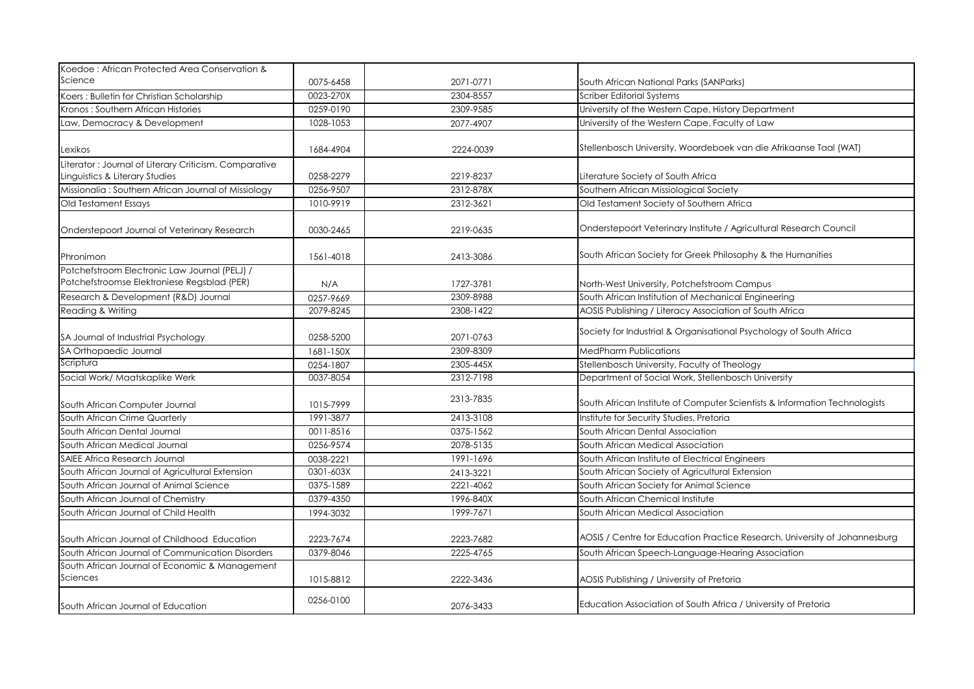| Koedoe: African Protected Area Conservation &                                                |           |           |                                                                            |
|----------------------------------------------------------------------------------------------|-----------|-----------|----------------------------------------------------------------------------|
| Science                                                                                      | 0075-6458 | 2071-0771 | South African National Parks (SANParks)                                    |
| Koers: Bulletin for Christian Scholarship                                                    | 0023-270X | 2304-8557 | Scriber Editorial Systems                                                  |
| Kronos: Southern African Histories                                                           | 0259-0190 | 2309-9585 | University of the Western Cape, History Department                         |
| Law, Democracy & Development                                                                 | 1028-1053 | 2077-4907 | University of the Western Cape, Faculty of Law                             |
| Lexikos                                                                                      | 1684-4904 | 2224-0039 | Stellenbosch University, Woordeboek van die Afrikaanse Taal (WAT)          |
| Literator: Journal of Literary Criticism, Comparative<br>Linguistics & Literary Studies      | 0258-2279 | 2219-8237 | Literature Society of South Africa                                         |
| Missionalia: Southern African Journal of Missiology                                          | 0256-9507 | 2312-878X | Southern African Missiological Society                                     |
| Old Testament Essays                                                                         | 1010-9919 | 2312-3621 | Old Testament Society of Southern Africa                                   |
| Onderstepoort Journal of Veterinary Research                                                 | 0030-2465 | 2219-0635 | Onderstepoort Veterinary Institute / Agricultural Research Council         |
| Phronimon                                                                                    | 1561-4018 | 2413-3086 | South African Society for Greek Philosophy & the Humanities                |
| Potchefstroom Electronic Law Journal (PELJ) /<br>Potchefstroomse Elektroniese Regsblad (PER) | N/A       | 1727-3781 | North-West University, Potchefstroom Campus                                |
| Research & Development (R&D) Journal                                                         | 0257-9669 | 2309-8988 | South African Institution of Mechanical Engineering                        |
| Reading & Writing                                                                            | 2079-8245 | 2308-1422 | AOSIS Publishing / Literacy Association of South Africa                    |
| SA Journal of Industrial Psychology                                                          | 0258-5200 | 2071-0763 | Society for Industrial & Organisational Psychology of South Africa         |
| SA Orthopaedic Journal                                                                       | 1681-150X | 2309-8309 | <b>MedPharm Publications</b>                                               |
| Scriptura                                                                                    | 0254-1807 | 2305-445X | Stellenbosch University, Faculty of Theology                               |
| Social Work/ Maatskaplike Werk                                                               | 0037-8054 | 2312-7198 | Department of Social Work, Stellenbosch University                         |
| South African Computer Journal                                                               | 1015-7999 | 2313-7835 | South African Institute of Computer Scientists & Information Technologists |
| South African Crime Quarterly                                                                | 1991-3877 | 2413-3108 | Institute for Security Studies, Pretoria                                   |
| South African Dental Journal                                                                 | 0011-8516 | 0375-1562 | South African Dental Association                                           |
| South African Medical Journal                                                                | 0256-9574 | 2078-5135 | South African Medical Association                                          |
| <b>SAIEE Africa Research Journal</b>                                                         | 0038-2221 | 1991-1696 | South African Institute of Electrical Engineers                            |
| South African Journal of Agricultural Extension                                              | 0301-603X | 2413-3221 | South African Society of Agricultural Extension                            |
| South African Journal of Animal Science                                                      | 0375-1589 | 2221-4062 | South African Society for Animal Science                                   |
| South African Journal of Chemistry                                                           | 0379-4350 | 1996-840X | South African Chemical Institute                                           |
| South African Journal of Child Health                                                        | 1994-3032 | 1999-7671 | South African Medical Association                                          |
| South African Journal of Childhood Education                                                 | 2223-7674 | 2223-7682 | AOSIS / Centre for Education Practice Research, University of Johannesburg |
| South African Journal of Communication Disorders                                             | 0379-8046 | 2225-4765 | South African Speech-Language-Hearing Association                          |
| South African Journal of Economic & Management<br>Sciences                                   | 1015-8812 | 2222-3436 | AOSIS Publishing / University of Pretoria                                  |
| South African Journal of Education                                                           | 0256-0100 | 2076-3433 | Education Association of South Africa / University of Pretoria             |